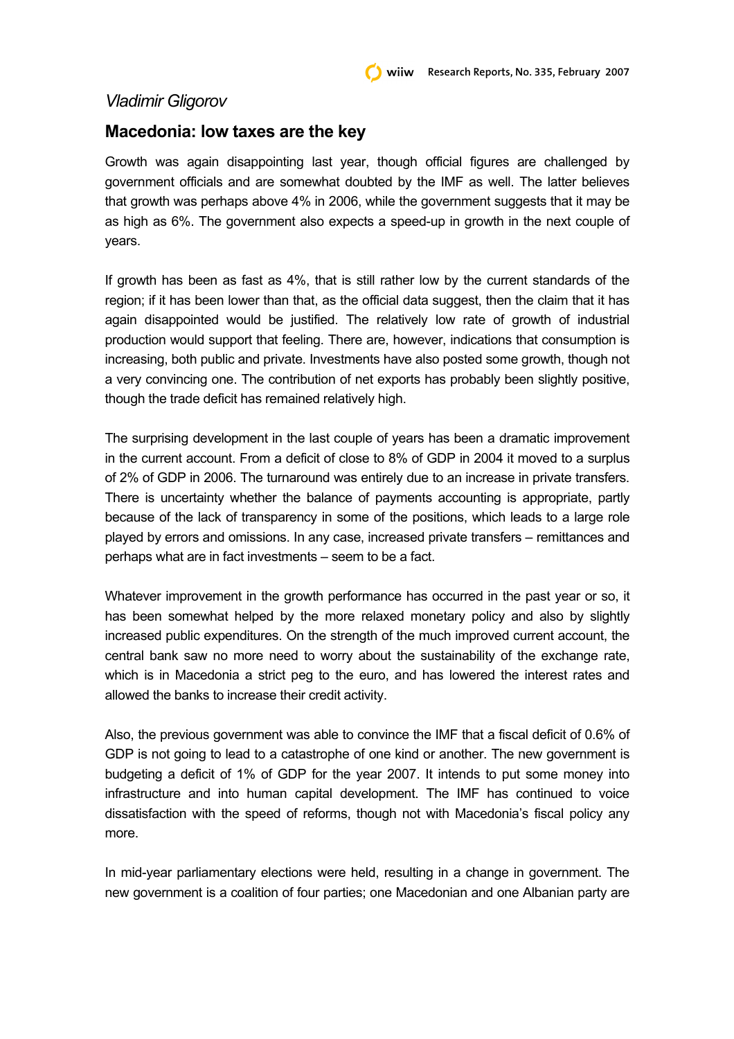## *Vladimir Gligorov*

## **Macedonia: low taxes are the key**

Growth was again disappointing last year, though official figures are challenged by government officials and are somewhat doubted by the IMF as well. The latter believes that growth was perhaps above 4% in 2006, while the government suggests that it may be as high as 6%. The government also expects a speed-up in growth in the next couple of years.

If growth has been as fast as 4%, that is still rather low by the current standards of the region; if it has been lower than that, as the official data suggest, then the claim that it has again disappointed would be justified. The relatively low rate of growth of industrial production would support that feeling. There are, however, indications that consumption is increasing, both public and private. Investments have also posted some growth, though not a very convincing one. The contribution of net exports has probably been slightly positive, though the trade deficit has remained relatively high.

The surprising development in the last couple of years has been a dramatic improvement in the current account. From a deficit of close to 8% of GDP in 2004 it moved to a surplus of 2% of GDP in 2006. The turnaround was entirely due to an increase in private transfers. There is uncertainty whether the balance of payments accounting is appropriate, partly because of the lack of transparency in some of the positions, which leads to a large role played by errors and omissions. In any case, increased private transfers – remittances and perhaps what are in fact investments – seem to be a fact.

Whatever improvement in the growth performance has occurred in the past year or so, it has been somewhat helped by the more relaxed monetary policy and also by slightly increased public expenditures. On the strength of the much improved current account, the central bank saw no more need to worry about the sustainability of the exchange rate, which is in Macedonia a strict peg to the euro, and has lowered the interest rates and allowed the banks to increase their credit activity.

Also, the previous government was able to convince the IMF that a fiscal deficit of 0.6% of GDP is not going to lead to a catastrophe of one kind or another. The new government is budgeting a deficit of 1% of GDP for the year 2007. It intends to put some money into infrastructure and into human capital development. The IMF has continued to voice dissatisfaction with the speed of reforms, though not with Macedonia's fiscal policy any more.

In mid-year parliamentary elections were held, resulting in a change in government. The new government is a coalition of four parties; one Macedonian and one Albanian party are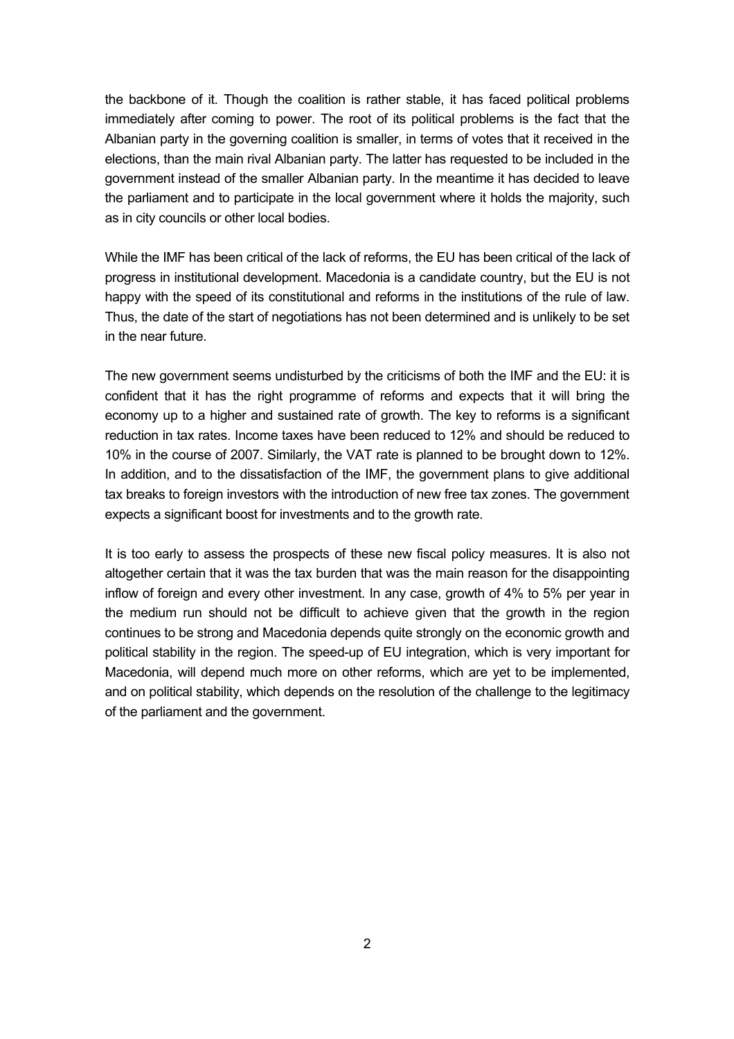the backbone of it. Though the coalition is rather stable, it has faced political problems immediately after coming to power. The root of its political problems is the fact that the Albanian party in the governing coalition is smaller, in terms of votes that it received in the elections, than the main rival Albanian party. The latter has requested to be included in the government instead of the smaller Albanian party. In the meantime it has decided to leave the parliament and to participate in the local government where it holds the majority, such as in city councils or other local bodies.

While the IMF has been critical of the lack of reforms, the EU has been critical of the lack of progress in institutional development. Macedonia is a candidate country, but the EU is not happy with the speed of its constitutional and reforms in the institutions of the rule of law. Thus, the date of the start of negotiations has not been determined and is unlikely to be set in the near future.

The new government seems undisturbed by the criticisms of both the IMF and the EU: it is confident that it has the right programme of reforms and expects that it will bring the economy up to a higher and sustained rate of growth. The key to reforms is a significant reduction in tax rates. Income taxes have been reduced to 12% and should be reduced to 10% in the course of 2007. Similarly, the VAT rate is planned to be brought down to 12%. In addition, and to the dissatisfaction of the IMF, the government plans to give additional tax breaks to foreign investors with the introduction of new free tax zones. The government expects a significant boost for investments and to the growth rate.

It is too early to assess the prospects of these new fiscal policy measures. It is also not altogether certain that it was the tax burden that was the main reason for the disappointing inflow of foreign and every other investment. In any case, growth of 4% to 5% per year in the medium run should not be difficult to achieve given that the growth in the region continues to be strong and Macedonia depends quite strongly on the economic growth and political stability in the region. The speed-up of EU integration, which is very important for Macedonia, will depend much more on other reforms, which are yet to be implemented, and on political stability, which depends on the resolution of the challenge to the legitimacy of the parliament and the government.